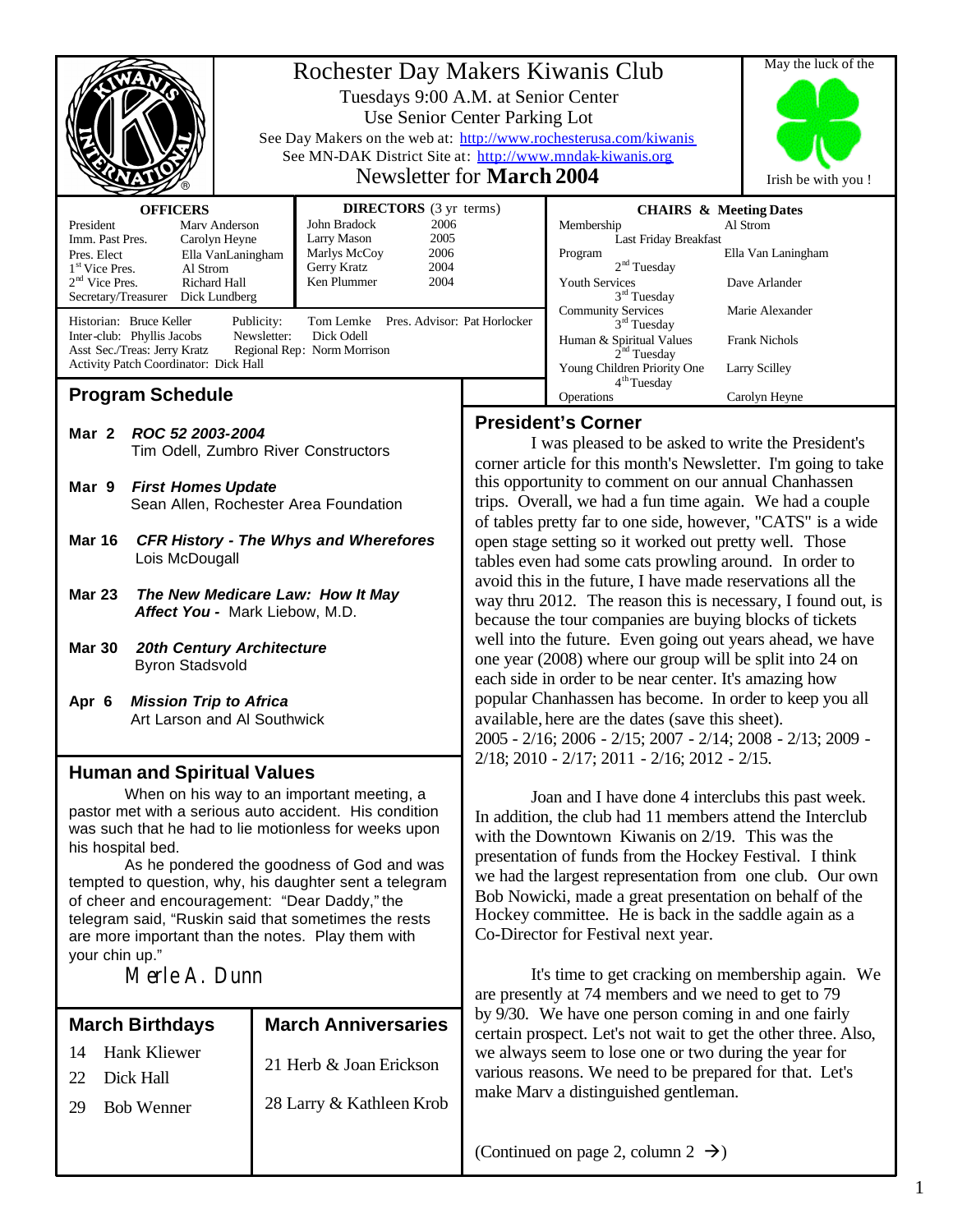|                                                                                                                                                                                                                                                                                            | Rochester Day Makers Kiwanis Club<br>Tuesdays 9:00 A.M. at Senior Center |                                                                                                                                                    |                                                                                                                                                                                                                                                                                                                                                                                                                                                     | May the luck of the                                                                                                                                      |                                                 |
|--------------------------------------------------------------------------------------------------------------------------------------------------------------------------------------------------------------------------------------------------------------------------------------------|--------------------------------------------------------------------------|----------------------------------------------------------------------------------------------------------------------------------------------------|-----------------------------------------------------------------------------------------------------------------------------------------------------------------------------------------------------------------------------------------------------------------------------------------------------------------------------------------------------------------------------------------------------------------------------------------------------|----------------------------------------------------------------------------------------------------------------------------------------------------------|-------------------------------------------------|
|                                                                                                                                                                                                                                                                                            |                                                                          | Use Senior Center Parking Lot<br>See Day Makers on the web at: http://www.rochesterusa.com/kiwanis                                                 |                                                                                                                                                                                                                                                                                                                                                                                                                                                     |                                                                                                                                                          |                                                 |
|                                                                                                                                                                                                                                                                                            |                                                                          | See MN-DAK District Site at: http://www.mndak-kiwanis.org                                                                                          |                                                                                                                                                                                                                                                                                                                                                                                                                                                     |                                                                                                                                                          |                                                 |
|                                                                                                                                                                                                                                                                                            |                                                                          | <b>Newsletter for March 2004</b>                                                                                                                   |                                                                                                                                                                                                                                                                                                                                                                                                                                                     |                                                                                                                                                          | Irish be with you !                             |
| <b>OFFICERS</b><br>President<br>Mary Anderson<br>Imm. Past Pres.<br>Carolyn Heyne<br>Pres. Elect<br>Ella VanLaningham<br>1 <sup>st</sup> Vice Pres.<br>Al Strom<br>$2nd$ Vice Pres.<br>Richard Hall<br>Secretary/Treasurer Dick Lundberg                                                   |                                                                          | <b>DIRECTORS</b> (3 yr terms)<br>John Bradock<br>2006<br>Larry Mason<br>2005<br>2006<br>Marlys McCoy<br>Gerry Kratz<br>2004<br>Ken Plummer<br>2004 |                                                                                                                                                                                                                                                                                                                                                                                                                                                     | <b>CHAIRS &amp; Meeting Dates</b><br>Membership<br>Last Friday Breakfast<br>Program<br>2 <sup>nd</sup> Tuesday<br><b>Youth Services</b><br>$3rd$ Tuesday | Al Strom<br>Ella Van Laningham<br>Dave Arlander |
| Historian: Bruce Keller<br>Publicity:                                                                                                                                                                                                                                                      |                                                                          | Tom Lemke Pres. Advisor: Pat Horlocker<br>Dick Odell                                                                                               |                                                                                                                                                                                                                                                                                                                                                                                                                                                     | <b>Community Services</b><br>3 <sup>rd</sup> Tuesday                                                                                                     | Marie Alexander                                 |
| Inter-club: Phyllis Jacobs<br>Newsletter:<br>Asst Sec./Treas: Jerry Kratz<br>Activity Patch Coordinator: Dick Hall                                                                                                                                                                         |                                                                          | Regional Rep: Norm Morrison                                                                                                                        |                                                                                                                                                                                                                                                                                                                                                                                                                                                     | Human & Spiritual Values<br>2 <sup>nd</sup> Tuesday<br>Young Children Priority One                                                                       | <b>Frank Nichols</b><br><b>Larry Scilley</b>    |
| <b>Program Schedule</b>                                                                                                                                                                                                                                                                    |                                                                          |                                                                                                                                                    |                                                                                                                                                                                                                                                                                                                                                                                                                                                     | 4 <sup>th</sup> Tuesday<br>Operations                                                                                                                    | Carolyn Heyne                                   |
|                                                                                                                                                                                                                                                                                            |                                                                          |                                                                                                                                                    |                                                                                                                                                                                                                                                                                                                                                                                                                                                     | <b>President's Corner</b>                                                                                                                                |                                                 |
| Mar 2<br>ROC 52 2003-2004                                                                                                                                                                                                                                                                  |                                                                          |                                                                                                                                                    | I was pleased to be asked to write the President's                                                                                                                                                                                                                                                                                                                                                                                                  |                                                                                                                                                          |                                                 |
| Tim Odell, Zumbro River Constructors                                                                                                                                                                                                                                                       |                                                                          |                                                                                                                                                    | corner article for this month's Newsletter. I'm going to take                                                                                                                                                                                                                                                                                                                                                                                       |                                                                                                                                                          |                                                 |
| Mar 9<br><b>First Homes Update</b>                                                                                                                                                                                                                                                         |                                                                          |                                                                                                                                                    | this opportunity to comment on our annual Chanhassen<br>trips. Overall, we had a fun time again. We had a couple                                                                                                                                                                                                                                                                                                                                    |                                                                                                                                                          |                                                 |
| Sean Allen, Rochester Area Foundation                                                                                                                                                                                                                                                      |                                                                          |                                                                                                                                                    | of tables pretty far to one side, however, "CATS" is a wide                                                                                                                                                                                                                                                                                                                                                                                         |                                                                                                                                                          |                                                 |
| <b>Mar 16</b><br><b>CFR History - The Whys and Wherefores</b>                                                                                                                                                                                                                              |                                                                          |                                                                                                                                                    | open stage setting so it worked out pretty well. Those                                                                                                                                                                                                                                                                                                                                                                                              |                                                                                                                                                          |                                                 |
| Lois McDougall                                                                                                                                                                                                                                                                             |                                                                          |                                                                                                                                                    | tables even had some cats prowling around. In order to<br>avoid this in the future, I have made reservations all the                                                                                                                                                                                                                                                                                                                                |                                                                                                                                                          |                                                 |
| <b>Mar 23</b><br>The New Medicare Law: How It May<br>Affect You - Mark Liebow, M.D.                                                                                                                                                                                                        |                                                                          | way thru 2012. The reason this is necessary, I found out, is<br>because the tour companies are buying blocks of tickets                            |                                                                                                                                                                                                                                                                                                                                                                                                                                                     |                                                                                                                                                          |                                                 |
| <b>Mar 30</b><br><b>20th Century Architecture</b>                                                                                                                                                                                                                                          |                                                                          |                                                                                                                                                    | well into the future. Even going out years ahead, we have                                                                                                                                                                                                                                                                                                                                                                                           |                                                                                                                                                          |                                                 |
| <b>Byron Stadsvold</b>                                                                                                                                                                                                                                                                     |                                                                          |                                                                                                                                                    | one year (2008) where our group will be split into 24 on<br>each side in order to be near center. It's amazing how                                                                                                                                                                                                                                                                                                                                  |                                                                                                                                                          |                                                 |
| <b>Mission Trip to Africa</b><br>Apr 6                                                                                                                                                                                                                                                     |                                                                          |                                                                                                                                                    | popular Chanhassen has become. In order to keep you all                                                                                                                                                                                                                                                                                                                                                                                             |                                                                                                                                                          |                                                 |
| Art Larson and Al Southwick                                                                                                                                                                                                                                                                |                                                                          |                                                                                                                                                    | available, here are the dates (save this sheet).                                                                                                                                                                                                                                                                                                                                                                                                    |                                                                                                                                                          |                                                 |
|                                                                                                                                                                                                                                                                                            |                                                                          |                                                                                                                                                    | 2005 - 2/16; 2006 - 2/15; 2007 - 2/14; 2008 - 2/13; 2009 -<br>$2/18$ ; 2010 - 2/17; 2011 - 2/16; 2012 - 2/15.                                                                                                                                                                                                                                                                                                                                       |                                                                                                                                                          |                                                 |
| <b>Human and Spiritual Values</b>                                                                                                                                                                                                                                                          |                                                                          |                                                                                                                                                    |                                                                                                                                                                                                                                                                                                                                                                                                                                                     |                                                                                                                                                          |                                                 |
| When on his way to an important meeting, a<br>pastor met with a serious auto accident. His condition<br>was such that he had to lie motionless for weeks upon<br>his hospital bed.<br>As he pondered the goodness of God and was<br>tempted to question, why, his daughter sent a telegram |                                                                          |                                                                                                                                                    | Joan and I have done 4 interclubs this past week.<br>In addition, the club had 11 members attend the Interclub<br>with the Downtown Kiwanis on 2/19. This was the<br>presentation of funds from the Hockey Festival. I think<br>we had the largest representation from one club. Our own<br>Bob Nowicki, made a great presentation on behalf of the<br>Hockey committee. He is back in the saddle again as a<br>Co-Director for Festival next year. |                                                                                                                                                          |                                                 |
| of cheer and encouragement: "Dear Daddy," the<br>telegram said, "Ruskin said that sometimes the rests<br>are more important than the notes. Play them with<br>your chin up."                                                                                                               |                                                                          |                                                                                                                                                    |                                                                                                                                                                                                                                                                                                                                                                                                                                                     |                                                                                                                                                          |                                                 |

Merle A. Dunn

|    | <b>March Birthdays</b> | <b>March Anniversaries</b> |  |  |
|----|------------------------|----------------------------|--|--|
| 14 | <b>Hank Kliewer</b>    | 21 Herb & Joan Erickson    |  |  |
|    | Dick Hall              |                            |  |  |
| 29 | <b>Bob Wenner</b>      | 28 Larry & Kathleen Krob   |  |  |
|    |                        |                            |  |  |
|    |                        |                            |  |  |

## It's time to get cracking on membership again. We are presently at 74 members and we need to get to 79 by 9/30. We have one person coming in and one fairly certain prospect. Let's not wait to get the other three. Also, we always seem to lose one or two during the year for various reasons. We need to be prepared for that. Let's make Marv a distinguished gentleman.

(Continued on page 2, column  $2 \rightarrow$ )